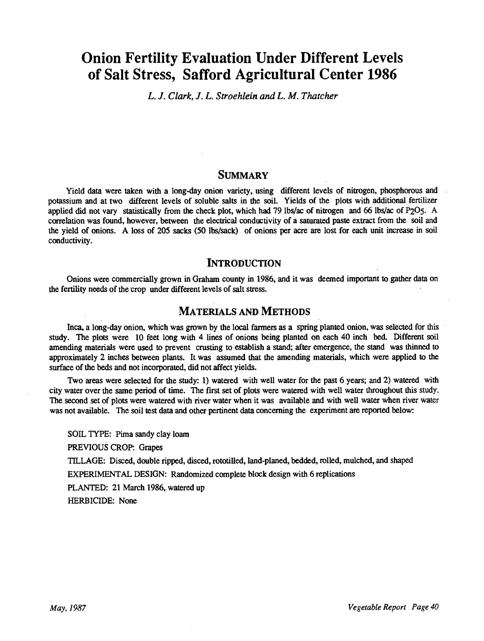# Onion Fertility Evaluation Under Different Levels of Salt Stress, Safford Agricultural Center 1986

L. J. Clark, J. L. Stroehlein and L. M. Thatcher

### SUMMARY

Yield data were taken with a long-day onion variety, using different levels of nitrogen, phosphorous and potassium and at two different levels of soluble salts in the soil. Yields of the plots with additional fertilizer applied did not vary statistically from the check plot, which had 79 lbs/ac of nitrogen and 66 lbs/ac of P205. A correlation was found, however, between the electrical conductivity of a saturated paste extract from the soil and the yield of onions. A loss of 205 sacks (50 lbs/sack) of onions per acre are lost for each unit increase in soil conductivity.

## **INTRODUCTION**

Onions were commercially grown in Graham county in 1986, and it was deemed important to gather data on the fertility needs of the crop under different levels of salt stress.

### MATERIALS AND METHODS

Inca, a long -day onion, which was grown by the local farmers as a spring planted onion, was selected for this study. The plots were 10 feet long with 4 lines of onions being planted on each 40 inch bed. Different soil amending materials were used to prevent crusting to establish a stand; after emergence, the stand was thinned to approximately 2 inches between plants. It was assumed that the amending materials, which were applied to the surface of the beds and not incorporated, did not affect yields.

Two areas were selected for the study: 1) watered with well water for the past 6 years; and 2) watered with city water over the same period of time. The first set of plots were watered with well water throughout this study. The second set of plots were watered with river water when it was available and with well water when river water was not available. The soil test data and other pertinent data concerning the experiment are reported below:

SOIL TYPE: Pima sandy clay loam

PREVIOUS CROP: Grapes

TILLAGE: Disced, double ripped, disced, rototilled, land- planed, bedded, rolled, mulched, and shaped

EXPERIMENTAL DESIGN: Randomized complete block design with 6 replications

PLANTED: 21 March 1986, watered up

HERBICIDE: None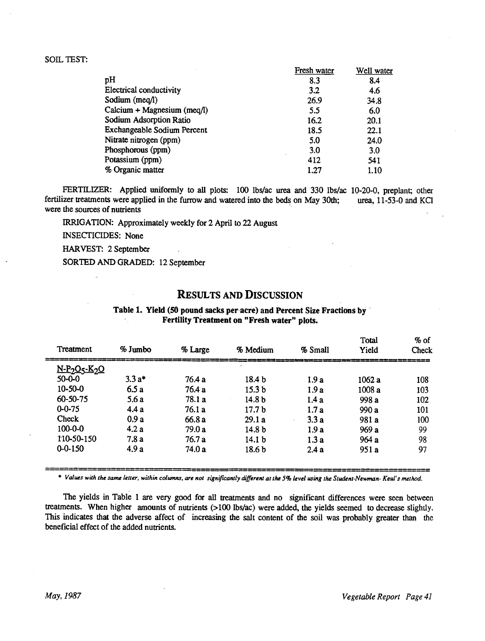#### SOIL TEST:

|                                | Fresh water | Well water |
|--------------------------------|-------------|------------|
| pH                             | 8.3         | 8.4        |
| <b>Electrical conductivity</b> | 3.2         | 4.6        |
| Sodium (meq/l)                 | 26.9        | 34.8       |
| $Calcium + Magnesium (meq/l)$  | 5.5         | 6.0        |
| Sodium Adsorption Ratio        | 16.2        | 20.1       |
| Exchangeable Sodium Percent    | 18.5        | 22.1       |
| Nitrate nitrogen (ppm)         | 5.0         | 24.0       |
| Phosphorous (ppm)              | 3.0         | 3.0        |
| Potassium (ppm)                | 412         | 541        |
| % Organic matter               | 1.27        | 1.10       |

FERTILIZER: Applied uniformly to all plots: 100 lbs/ac urea and 330 lbs/ac 10-20-0, preplant; other fertilizer treatments were applied in the furrow and watered into the beds on May 30th; urea, 11 -53 -0 and KC1 were the sources of nutrients

IRRIGATION: Approximately weekly for 2 April to 22 August

INSECTICIDES: None

HARVEST: 2 September

SORTED AND GRADED: 12 September

# RESULTS AND DISCUSSION

Table 1. Yield (50 pound sacks per acre) and Percent Size Fractions by Fertility Treatment on "Fresh water" plots.

| Treatment                                         | $%$ Jumbo | % Large | % Medium          | % Small | Total<br>Yield | $%$ of<br>Check |
|---------------------------------------------------|-----------|---------|-------------------|---------|----------------|-----------------|
| N-P <sub>2</sub> O <sub>5</sub> -K <sub>2</sub> O |           |         |                   |         |                |                 |
| $50 - 0 - 0$                                      | $3.3 a*$  | 76.4 a  | 18.4 <sub>b</sub> | 1.9a    | 1062 a         | 108             |
| $10 - 50 - 0$                                     | 6.5a      | 76.4 a  | 15.3 <sub>b</sub> | 1.9a    | 1008 a         | 103             |
| $60 - 50 - 75$                                    | 5.6a      | 78.1 a  | 14.8 <sub>b</sub> | 1.4a    | 998 a          | 102             |
| $0 - 0 - 75$                                      | 4.4a      | 76.1 a  | 17.7 <sub>b</sub> | 1.7a    | 990 a          | 101             |
| Check                                             | 0.9a      | 66.8 a  | 29.1a             | 3.3a    | 981 a          | 100             |
| $100 - 0 - 0$                                     | 4.2a      | 79.0 a  | 14.8 <sub>b</sub> | 1.9a    | 969 a          | 99              |
| 110-50-150                                        | 7.8a      | 76.7a   | 14.1 <sub>b</sub> | 1.3a    | 964a           | 98              |
| $0 - 0 - 150$                                     | 4.9 a     | 74.0 a  | 18.6 <sub>b</sub> | 2.4a    | 951 a          | 97              |

\* Values with the same letter, within columns, are not significantly different at the 5% level using the Student-Newman- Keul's method.

The yields in Table 1 are very good for all treatments and no significant differences were seen between treatments. When higher amounts of nutrients (>100 lbs/ac) were added, the yields seemed to decrease slightly. This indicates that the adverse affect of increasing the salt content of the soil was probably greater than the beneficial effect of the added nutrients.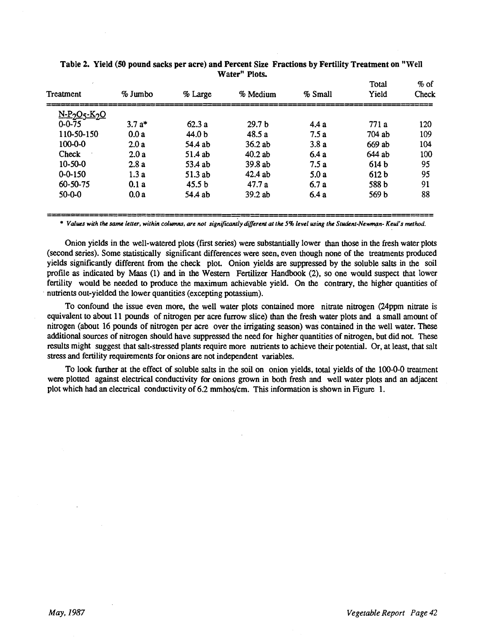| Treatment         | % Jumbo | % Large           | % Medium          | % Small | Total<br>Yield | $%$ of<br>Check |
|-------------------|---------|-------------------|-------------------|---------|----------------|-----------------|
| <u>N-P2O5-K2O</u> |         |                   |                   |         |                |                 |
| $0 - 0 - 75$      | $3.7a*$ | 62.3a             | 29.7 <sub>b</sub> | 4.4a    | 771a           | 120             |
| 110-50-150        | 0.0a    | 44.0 b            | 48.5a             | 7.5a    | $704$ ab       | 109             |
| $100 - 0 - 0$     | 2.0a    | 54.4 ab           | 36.2ab            | 3.8a    | 669 ab         | 104             |
| Check             | 2.0a    | $51.4$ ab         | $40.2$ ab         | 6.4a    | 644 ab         | 100             |
| $10-50-0$         | 2.8a    | 53.4 ab           | 39.8ab            | 7.5a    | 614 b          | 95              |
| $0 - 0 - 150$     | 1.3a    | 51.3 ab           | $42.4$ ab         | 5.0a    | 612 b          | 95              |
| 60-50-75          | 0.1a    | 45.5 <sub>b</sub> | 47.7a             | 6.7a    | 588 b          | 91              |
| $50 - 0 - 0$      | 0.0a    | 54.4 ab           | $39.2$ ab         | 6.4a    | 569 b          | 88              |

|  | Table 2. Yield (50 pound sacks per acre) and Percent Size Fractions by Fertility Treatment on "Well |               |  |  |
|--|-----------------------------------------------------------------------------------------------------|---------------|--|--|
|  |                                                                                                     | Water" Plots. |  |  |

\* Values with the same letter, within columns, are not significantly different at the 5% level using the Student-Newman- Keul's method.

Onion yields in the well -watered plots (first series) were substantially lower than those in the fresh water plots (second series). Some statistically significant differences were seen, even though none of the treatments produced yields significantly different from the check plot. Onion yields are suppressed by the soluble salts in the soil profile as indicated by Maas (1) and in the Western Fertilizer Handbook (2), so one would suspect that lower fertility would be needed to produce the maximum achievable yield. On the contrary, the higher quantities of nutrients out-yielded the lower quantities (excepting potassium).

To confound the issue even more, the well water plots contained more nitrate nitrogen (24ppm nitrate is equivalent to about 11 pounds of nitrogen per acre furrow slice) than the fresh water plots and a small amount of nitrogen (about 16 pounds of nitrogen per acre over the irrigating season) was contained in the well water. These additional sources of nitrogen should have suppressed the need for higher quantities of nitrogen, but did not. These results might suggest that salt- stressed plants require more nutrients to achieve their potential. Or, at least, that salt stress and fertility requirements for onions are not independent variables.

To look further at the effect of soluble salts in the soil on onion yields, total yields of the 100-0-0 treatment were plotted against electrical conductivity for onions grown in both fresh and well water plots and an adjacent plot which had an electrical conductivity of 6.2 mmhos/cm. This information is shown in Figure 1.